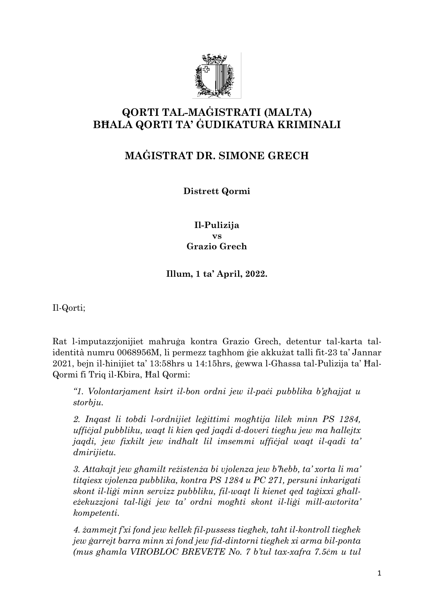

# **QORTI TAL-MAĠISTRATI (MALTA) BĦALA QORTI TA' ĠUDIKATURA KRIMINALI**

## **MAĠISTRAT DR. SIMONE GRECH**

**Distrett Qormi**

#### **Il-Pulizija vs Grazio Grech**

## **Illum, 1 ta' April, 2022.**

Il-Qorti;

Rat l-imputazzjonijiet maħruġa kontra Grazio Grech, detentur tal-karta talidentità numru 0068956M, li permezz tagħhom ġie akkużat talli fit-23 ta' Jannar 2021, bejn il-ħinijiet ta' 13:58hrs u 14:15hrs, ġewwa l-Għassa tal-Pulizija ta' Ħal-Qormi fi Triq il-Kbira, Ħal Qormi:

*"1. Volontarjament ksirt il-bon ordni jew il-paċi pubblika b'għajjat u storbju.*

*2. Inqast li tobdi l-ordnijiet leġittimi mogħtija lilek minn PS 1284, uffiċjal pubbliku, waqt li kien qed jaqdi d-doveri tiegħu jew ma ħallejtx jaqdi, jew fixkilt jew indħalt lil imsemmi uffiċjal waqt il-qadi ta' dmirijietu.*

*3. Attakajt jew għamilt reżistenża bi vjolenza jew b'ħebb, ta' xorta li ma' titqiesx vjolenza pubblika, kontra PS 1284 u PC 271, persuni inkarigati skont il-liġi minn servizz pubbliku, fil-waqt li kienet qed taġixxi għalleżekuzzjoni tal-liġi jew ta' ordni mogħti skont il-liġi mill-awtorita' kompetenti.*

*4. żammejt f'xi fond jew kellek fil-pussess tiegħek, taħt il-kontroll tiegħek jew ġarrejt barra minn xi fond jew fid-dintorni tiegħek xi arma bil-ponta (mus għamla VIROBLOC BREVETE No. 7 b'tul tax-xafra 7.5ċm u tul*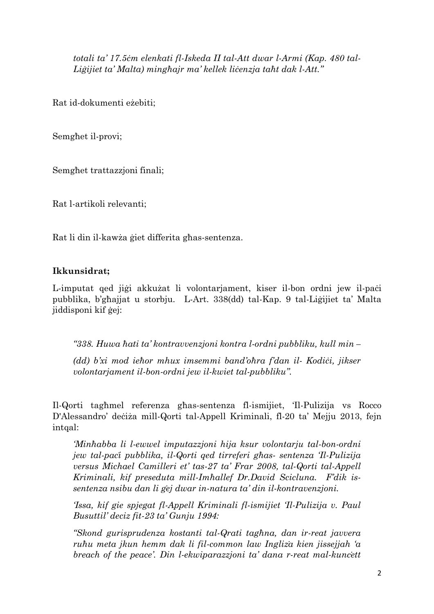*totali ta' 17.5ċm elenkati fl-Iskeda II tal-Att dwar l-Armi (Kap. 480 tal-Liġijiet ta' Malta) mingħajr ma' kellek liċenzja taħt dak l-Att."*

Rat id-dokumenti eżebiti;

Semgħet il-provi;

Semgħet trattazzjoni finali;

Rat l-artikoli relevanti;

Rat li din il-kawża ġiet differita għas-sentenza.

#### **Ikkunsidrat;**

L-imputat qed jiġi akkużat li volontarjament, kiser il-bon ordni jew il-paċi pubblika, b'għajjat u storbju. L-Art. 338(dd) tal-Kap. 9 tal-Liġijiet ta' Malta jiddisponi kif ġej:

*"338. Huwa ħati ta' kontravvenzjoni kontra l-ordni pubbliku, kull min –*

*(dd) b'xi mod ieħor mhux imsemmi band'oħra f'dan il- Kodiċi, jikser volontarjament il-bon-ordni jew il-kwiet tal-pubbliku".*

Il-Qorti tagħmel referenza għas-sentenza fl-ismijiet, 'Il-Pulizija vs Rocco D'Alessandro' deċiża mill-Qorti tal-Appell Kriminali, fl-20 ta' Mejju 2013, fejn intqal:

*'Minħabba li l-ewwel imputazzjoni hija ksur volontarju tal-bon-ordni jew tal-paċi pubblika, il-Qorti qed tirreferi għas- sentenza 'Il-Pulizija versus Michael Camilleri et' tas-27 ta' Frar 2008, tal-Qorti tal-Appell Kriminali, kif preseduta mill-Imħallef Dr.David Scicluna. F'dik issentenza nsibu dan li ġej dwar in-natura ta' din il-kontravenzjoni.* 

*'Issa, kif gie spjegat fl-Appell Kriminali fl-ismijiet 'Il-Pulizija v. Paul Busuttil' deciz fit-23 ta' Gunju 1994:* 

*"Skond gurisprudenza kostanti tal-Qrati tagħna, dan ir-reat javvera ruħu meta jkun hemm dak li fil-common law Ingliża kien jissejjah 'a breach of the peace'. Din l-ekwiparazzjoni ta' dana r-reat mal-kunċett*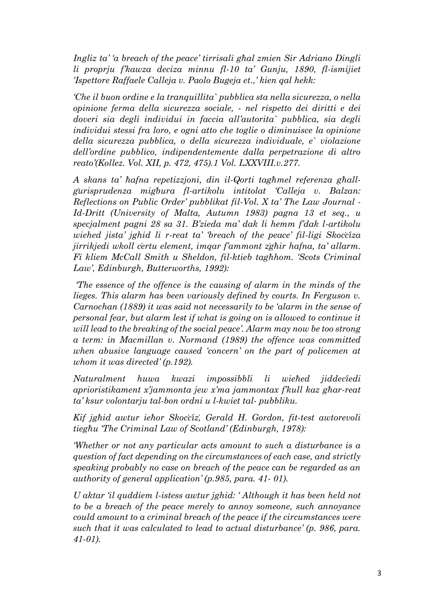*Ingliz ta' 'a breach of the peace' tirrisali għal zmien Sir Adriano Dingli li proprju f'kawza deciza minnu fl-10 ta' Gunju, 1890, fl-ismijiet 'Ispettore Raffaele Calleja v. Paolo Bugeja et.,' kien qal hekk:* 

*'Che il buon ordine e la tranquillita` pubblica sta nella sicurezza, o nella opinione ferma della sicurezza sociale, - nel rispetto dei diritti e dei doveri sia degli individui in faccia all'autorita` pubblica, sia degli individui stessi fra loro, e ogni atto che toglie o diminuisce la opinione della sicurezza pubblica, o della sicurezza individuale, e` violazione dell'ordine pubblico, indipendentemente dalla perpetrazione di altro reato'(Kollez. Vol. XII, p. 472, 475).1 Vol. LXXVIII.v.277.* 

*A skans ta' ħafna repetizzjoni, din il-Qorti tagħmel referenza għallġurisprudenza miġbura fl-artikolu intitolat 'Calleja v. Balzan: Reflections on Public Order' pubblikat fil-Vol. X ta' The Law Journal - Id-Dritt (University of Malta, Autumn 1983) pagna 13 et seq., u specjalment pagni 28 sa 31. B'zieda ma' dak li hemm f'dak l-artikolu wiehed jista' jghid li r-reat ta' 'breach of the peace' fil-ligi Skoċċiza jirrikjedi wkoll ċertu element, imqar f'ammont żgħir hafna, ta' allarm. Fi kliem McCall Smith u Sheldon, fil-ktieb tagħhom. 'Scots Criminal Law', Edinburgh, Butterworths, 1992):* 

*'The essence of the offence is the causing of alarm in the minds of the lieges. This alarm has been variously defined by courts. In Ferguson v. Carnochan (1889) it was said not necessarily to be 'alarm in the sense of personal fear, but alarm lest if what is going on is allowed to continue it will lead to the breaking of the social peace'. Alarm may now be too strong a term: in Macmillan v. Normand (1989) the offence was committed when abusive language caused 'concern' on the part of policemen at whom it was directed' (p.192).*

*Naturalment huwa kwazi impossibbli li wieħed jiddeċiedi aprioristikament x'jammonta jew x'ma jammontax f'kull kaz għar-reat ta' ksur volontarju tal-bon ordni u l-kwiet tal- pubbliku.* 

*Kif jgħid awtur ieħor Skoċċiż, Gerald H. Gordon, fit-test awtorevoli tiegħu 'The Criminal Law of Scotland' (Edinburgh, 1978):* 

*'Whether or not any particular acts amount to such a disturbance is a question of fact depending on the circumstances of each case, and strictly speaking probably no case on breach of the peace can be regarded as an authority of general application' (p.985, para. 41- 01).* 

*U aktar 'il quddiem l-istess awtur jghid: ' Although it has been held not to be a breach of the peace merely to annoy someone, such annoyance could amount to a criminal breach of the peace if the circumstances were such that it was calculated to lead to actual disturbance' (p. 986, para. 41-01).*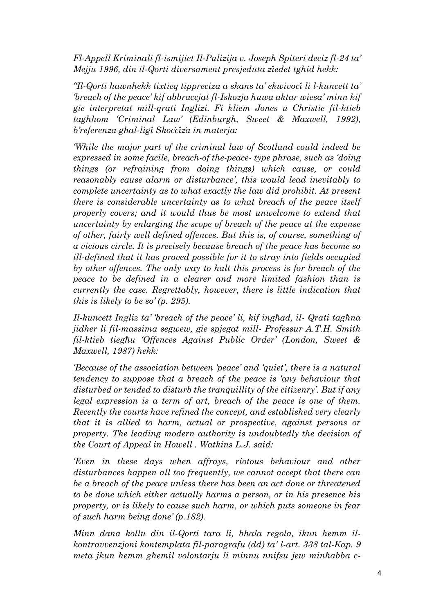*Fl-Appell Kriminali fl-ismijiet Il-Pulizija v. Joseph Spiteri deciz fl-24 ta' Mejju 1996, din il-Qorti diversament presjeduta żiedet tgħid hekk:* 

*"Il-Qorti hawnhekk tixtieq tippreciza a skans ta' ekwivoċi li l-kuncett ta' 'breach of the peace' kif abbraccjat fl-Iskozja huwa aktar wiesa' minn kif gie interpretat mill-qrati Inglizi. Fi kliem Jones u Christie fil-ktieb taghhom 'Criminal Law' (Edinburgh, Sweet & Maxwell, 1992), b'referenza għal-liġi Skoċċiża in materja:* 

*'While the major part of the criminal law of Scotland could indeed be expressed in some facile, breach-of the-peace- type phrase, such as 'doing things (or refraining from doing things) which cause, or could reasonably cause alarm or disturbance', this would lead inevitably to complete uncertainty as to what exactly the law did prohibit. At present there is considerable uncertainty as to what breach of the peace itself properly covers; and it would thus be most unwelcome to extend that uncertainty by enlarging the scope of breach of the peace at the expense of other, fairly well defined offences. But this is, of course, something of a vicious circle. It is precisely because breach of the peace has become so ill-defined that it has proved possible for it to stray into fields occupied by other offences. The only way to halt this process is for breach of the peace to be defined in a clearer and more limited fashion than is currently the case. Regrettably, however, there is little indication that this is likely to be so' (p. 295).* 

*Il-kuncett Ingliz ta' 'breach of the peace' li, kif ingħad, il- Qrati tagħna jidher li fil-massima segwew, gie spjegat mill- Professur A.T.H. Smith fil-ktieb tiegħu 'Offences Against Public Order' (London, Sweet & Maxwell, 1987) hekk:* 

*'Because of the association between 'peace' and 'quiet', there is a natural tendency to suppose that a breach of the peace is 'any behaviour that disturbed or tended to disturb the tranquillity of the citizenry'. But if any legal expression is a term of art, breach of the peace is one of them. Recently the courts have refined the concept, and established very clearly that it is allied to harm, actual or prospective, against persons or property. The leading modern authority is undoubtedly the decision of the Court of Appeal in Howell . Watkins L.J. said:* 

*'Even in these days when affrays, riotous behaviour and other disturbances happen all too frequently, we cannot accept that there can be a breach of the peace unless there has been an act done or threatened to be done which either actually harms a person, or in his presence his property, or is likely to cause such harm, or which puts someone in fear of such harm being done' (p.182).* 

*Minn dana kollu din il-Qorti tara li, bħala regola, ikun hemm ilkontravvenzjoni kontemplata fil-paragrafu (dd) ta' l-art. 338 tal-Kap. 9 meta jkun hemm għemil volontarju li minnu nnifsu jew minħabba c-*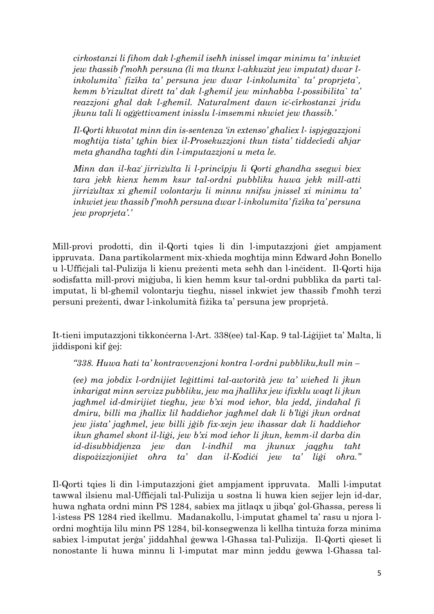*cirkostanzi li fihom dak l-għemil iseħħ inissel imqar minimu ta' inkwiet jew thassib f'moħħ persuna (li ma tkunx l-akkużat jew imputat) dwar linkolumita` fiżika ta' persuna jew dwar l-inkolumita` ta' proprjeta`, kemm b'rizultat dirett ta' dak l-għemil jew minħabba l-possibilita` ta' reazzjoni għal dak l-għemil. Naturalment dawn iċ-ċirkostanzi jridu jkunu tali li oġġettivament inisslu l-imsemmi nkwiet jew tħassib.'*

*Il-Qorti kkwotat minn din is-sentenza 'in extenso' għaliex l- ispjegazzjoni mogħtija tista' tgħin biex il-Prosekuzzjoni tkun tista' tiddeċiedi aħjar meta għandha tagħti din l-imputazzjoni u meta le.* 

*Minn dan il-każ jirriżulta li l-prinċipju li Qorti għandha ssegwi biex tara jekk kienx hemm ksur tal-ordni pubbliku huwa jekk mill-atti jirriżultax xi għemil volontarju li minnu nnifsu jnissel xi minimu ta' inkwiet jew tħassib f'moħħ persuna dwar l-inkolumita' fiżika ta' persuna jew proprjeta'.'*

Mill-provi prodotti, din il-Qorti tqies li din l-imputazzjoni ġiet ampjament ippruvata. Dana partikolarment mix-xhieda mogħtija minn Edward John Bonello u l-Uffiċjali tal-Pulizija li kienu preżenti meta seħħ dan l-inċident. Il-Qorti hija sodisfatta mill-provi miġjuba, li kien hemm ksur tal-ordni pubblika da parti talimputat, li bl-għemil volontarju tiegħu, nissel inkwiet jew tħassib f'moħħ terzi persuni preżenti, dwar l-inkolumità fiżika ta' persuna jew proprjetà.

It-tieni imputazzjoni tikkonċerna l-Art. 338(ee) tal-Kap. 9 tal-Liġijiet ta' Malta, li jiddisponi kif ġej:

*"338. Huwa ħati ta' kontravvenzjoni kontra l-ordni pubbliku,kull min –*

*(ee) ma jobdix l-ordnijiet leġittimi tal-awtorità jew ta' wieħed li jkun inkarigat minn servizz pubbliku, jew ma jħallihx jew ifixklu waqt li jkun jagħmel id-dmirijiet tiegħu, jew b'xi mod ieħor, bla jedd, jindaħal fi dmiru, billi ma jħallix lil ħaddieħor jagħmel dak li b'liġi jkun ordnat jew jista' jagħmel, jew billi jġib fix-xejn jew iħassar dak li ħaddieħor ikun għamel skont il-liġi, jew b'xi mod ieħor li jkun, kemm-il darba din id-disubbidjenza jew dan l-indħil ma jkunux jaqgħu taħt dispożizzjonijiet oħra ta' dan il-Kodiċi jew ta' liġi oħra."*

Il-Qorti tqies li din l-imputazzjoni ġiet ampjament ippruvata. Malli l-imputat tawwal ilsienu mal-Uffiċjali tal-Pulizija u sostna li huwa kien sejjer lejn id-dar, huwa ngħata ordni minn PS 1284, sabiex ma jitlaqx u jibqa' ġol-Għassa, peress li l-istess PS 1284 ried ikellmu. Madanakollu, l-imputat għamel ta' rasu u njora lordni mogħtija lilu minn PS 1284, bil-konsegwenza li kellha tintuża forza minima sabiex l-imputat jerġa' jiddaħħal ġewwa l-Għassa tal-Pulizija. Il-Qorti qieset li nonostante li huwa minnu li l-imputat mar minn jeddu ġewwa l-Għassa tal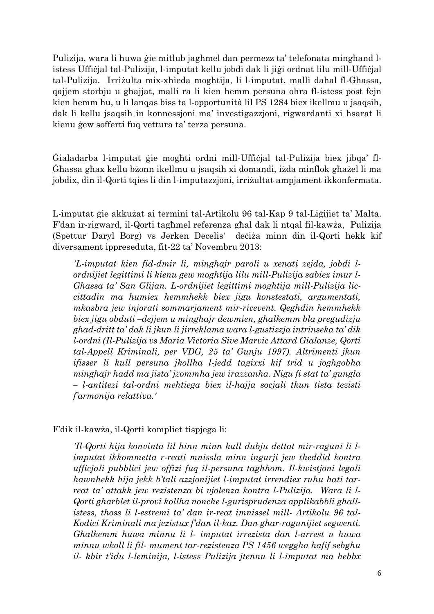Pulizija, wara li huwa ġie mitlub jagħmel dan permezz ta' telefonata mingħand listess Uffiċjal tal-Pulizija, l-imputat kellu jobdi dak li jiġi ordnat lilu mill-Uffiċjal tal-Pulizija. Irriżulta mix-xhieda mogħtija, li l-imputat, malli daħal fl-Għassa, qajjem storbju u għajjat, malli ra li kien hemm persuna oħra fl-istess post fejn kien hemm hu, u li lanqas biss ta l-opportunità lil PS 1284 biex ikellmu u jsaqsih, dak li kellu jsaqsih in konnessjoni ma' investigazzjoni, rigwardanti xi ħsarat li kienu ġew sofferti fuq vettura ta' terza persuna.

Ġialadarba l-imputat ġie mogħti ordni mill-Uffiċjal tal-Puliżija biex jibqa' fl-Ġħassa għax kellu bżonn ikellmu u jsaqsih xi domandi, iżda minflok għażel li ma jobdix, din il-Qorti tqies li din l-imputazzjoni, irriżultat ampjament ikkonfermata.

L-imputat ġie akkużat ai termini tal-Artikolu 96 tal-Kap 9 tal-Liġijiet ta' Malta. F'dan ir-rigward, il-Qorti tagħmel referenza għal dak li ntqal fil-kawża, Pulizija (Spettur Daryl Borg) vs Jerken Decelis' deċiża minn din il-Qorti hekk kif diversament ippreseduta, fit-22 ta' Novembru 2013:

*'L-imputat kien fid-dmir li, minghajr paroli u xenati zejda, jobdi lordnijiet legittimi li kienu gew moghtija lilu mill-Pulizija sabiex imur l-Ghassa ta' San Glijan. L-ordnijiet legittimi moghtija mill-Pulizija liccittadin ma humiex hemmhekk biex jigu konstestati, argumentati, mkasbra jew injorati sommarjament mir-ricevent. Qeghdin hemmhekk biex jigu obduti –dejjem u minghajr dewmien, ghalkemm bla pregudizju ghad-dritt ta' dak li jkun li jirreklama wara l-gustizzja intrinseka ta' dik l-ordni (Il-Pulizija vs Maria Victoria Sive Marvic Attard Gialanze, Qorti tal-Appell Kriminali, per VDG, 25 ta' Gunju 1997). Altrimenti jkun ifisser li kull persuna jkollha l-jedd tagixxi kif trid u joghgobha minghajr hadd ma jista' jzommha jew irazzanha. Nigu fi stat ta' gungla – l-antitezi tal-ordni mehtiega biex il-hajja socjali tkun tista tezisti f'armonija relattiva.'* 

F'dik il-kawża, il-Qorti kompliet tispjega li:

*'Il-Qorti hija konvinta lil hinn minn kull dubju dettat mir-raguni li limputat ikkommetta r-reati mnissla minn ingurji jew theddid kontra ufficjali pubblici jew offizi fuq il-persuna taghhom. Il-kwistjoni legali hawnhekk hija jekk b'tali azzjonijiet l-imputat irrendiex ruhu hati tarreat ta' attakk jew rezistenza bi vjolenza kontra l-Pulizija. Wara li l-Qorti gharblet il-provi kollha nonche l-gurisprudenza applikabbli ghallistess, thoss li l-estremi ta' dan ir-reat imnissel mill- Artikolu 96 tal-Kodici Kriminali ma jezistux f'dan il-kaz. Dan ghar-ragunijiet segwenti. Ghalkemm huwa minnu li l- imputat irrezista dan l-arrest u huwa minnu wkoll li fil- mument tar-rezistenza PS 1456 weggha hafif sebghu il- kbir t'idu l-leminija, l-istess Pulizija jtennu li l-imputat ma hebbx*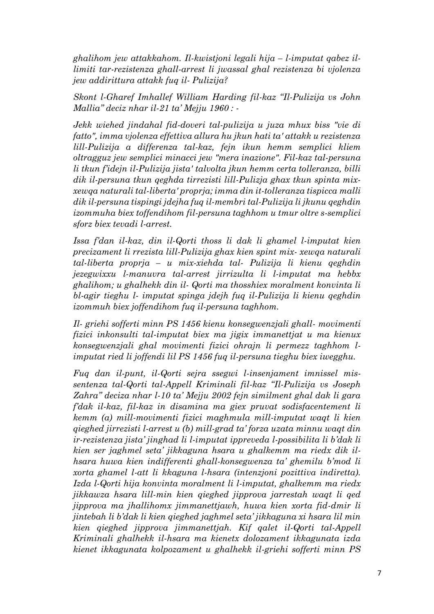*ghalihom jew attakkahom. Il-kwistjoni legali hija – l-imputat qabez illimiti tar-rezistenza ghall-arrest li jwassal ghal rezistenza bi vjolenza jew addirittura attakk fuq il- Pulizija?* 

*Skont l-Gharef Imhallef William Harding fil-kaz "Il-Pulizija vs John Mallia" deciz nhar il-21 ta' Mejju 1960 : -*

*Jekk wiehed jindahal fid-doveri tal-pulizija u juza mhux biss "vie di fatto", imma vjolenza effettiva allura hu jkun hati ta' attakk u rezistenza lill-Pulizija a differenza tal-kaz, fejn ikun hemm semplici kliem oltragguz jew semplici minacci jew "mera inazione". Fil-kaz tal-persuna li tkun f'idejn il-Pulizija jista' talvolta jkun hemm certa tolleranza, billi dik il-persuna tkun qeghda tirrezisti lill-Pulizja ghax tkun spinta mixxewqa naturali tal-liberta' proprja; imma din it-tolleranza tispicca malli dik il-persuna tispingi jdejha fuq il-membri tal-Pulizija li jkunu qeghdin izommuha biex toffendihom fil-persuna taghhom u tmur oltre s-semplici sforz biex tevadi l-arrest.* 

*Issa f'dan il-kaz, din il-Qorti thoss li dak li ghamel l-imputat kien precizament li rrezista lill-Pulizija ghax kien spint mix- xewqa naturali tal-liberta proprja – u mix-xiehda tal- Pulizija li kienu qeghdin jezegwixxu l-manuvra tal-arrest jirrizulta li l-imputat ma hebbx ghalihom; u ghalhekk din il- Qorti ma thosshiex moralment konvinta li bl-agir tieghu l- imputat spinga jdejh fuq il-Pulizija li kienu qeghdin izommuh biex joffendihom fuq il-persuna taghhom.* 

*Il- griehi sofferti minn PS 1456 kienu konsegwenzjali ghall- movimenti fizici inkonsulti tal-imputat biex ma jigix immanettjat u ma kienux konsegwenzjali ghal movimenti fizici ohrajn li permezz taghhom limputat ried li joffendi lil PS 1456 fuq il-persuna tieghu biex iwegghu.* 

*Fuq dan il-punt, il-Qorti sejra ssegwi l-insenjament imnissel missentenza tal-Qorti tal-Appell Kriminali fil-kaz "Il-Pulizija vs Joseph Zahra" deciza nhar l-10 ta' Mejju 2002 fejn similment ghal dak li gara f'dak il-kaz, fil-kaz in disamina ma giex pruvat sodisfacentement li kemm (a) mill-movimenti fizici maghmula mill-imputat waqt li kien qieghed jirrezisti l-arrest u (b) mill-grad ta' forza uzata minnu waqt din ir-rezistenza jista' jinghad li l-imputat ippreveda l-possibilita li b'dak li kien ser jaghmel seta' jikkaguna hsara u ghalkemm ma riedx dik ilhsara huwa kien indifferenti ghall-konsegwenza ta' ghemilu b'mod li xorta ghamel l-att li kkaguna l-hsara (intenzjoni pozittiva indiretta). Izda l-Qorti hija konvinta moralment li l-imputat, ghalkemm ma riedx jikkawza hsara lill-min kien qieghed jipprova jarrestah waqt li qed jipprova ma jhallihomx jimmanettjawh, huwa kien xorta fid-dmir li jintebah li b'dak li kien qieghed jaghmel seta' jikkaguna xi hsara lil min kien qieghed jipprova jimmanettjah. Kif qalet il-Qorti tal-Appell Kriminali ghalhekk il-hsara ma kienetx dolozament ikkagunata izda kienet ikkagunata kolpozament u ghalhekk il-griehi sofferti minn PS*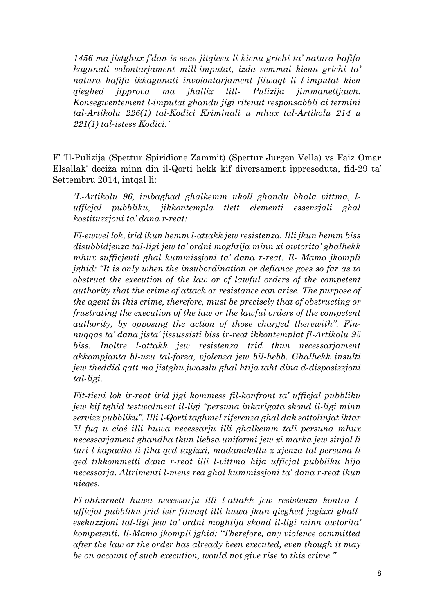*1456 ma jistghux f'dan is-sens jitqiesu li kienu griehi ta' natura hafifa kagunati volontarjament mill-imputat, izda semmai kienu griehi ta' natura hafifa ikkagunati involontarjament filwaqt li l-imputat kien qieghed jipprova ma jhallix lill- Pulizija jimmanettjawh. Konsegwentement l-imputat ghandu jigi ritenut responsabbli ai termini tal-Artikolu 226(1) tal-Kodici Kriminali u mhux tal-Artikolu 214 u 221(1) tal-istess Kodici.'*

F' 'Il-Pulizija (Spettur Spiridione Zammit) (Spettur Jurgen Vella) vs Faiz Omar Elsallak' deċiża minn din il-Qorti hekk kif diversament ippreseduta, fid-29 ta' Settembru 2014, intqal li:

*'L-Artikolu 96, imbaghad ghalkemm ukoll ghandu bhala vittma, lufficjal pubbliku, jikkontempla tlett elementi essenzjali ghal kostituzzjoni ta' dana r-reat:* 

*Fl-ewwel lok, irid ikun hemm l-attakk jew resistenza. Illi jkun hemm biss disubbidjenza tal-ligi jew ta' ordni moghtija minn xi awtorita' ghalhekk mhux sufficjenti ghal kummissjoni ta' dana r-reat. Il- Mamo jkompli jghid: "It is only when the insubordination or defiance goes so far as to obstruct the execution of the law or of lawful orders of the competent authority that the crime of attack or resistance can arise. The purpose of the agent in this crime, therefore, must be precisely that of obstructing or frustrating the execution of the law or the lawful orders of the competent authority, by opposing the action of those charged therewith". Finnuqqas ta' dana jista' jissussisti biss ir-reat ikkontemplat fl-Artikolu 95 biss. Inoltre l-attakk jew resistenza trid tkun necessarjament akkompjanta bl-uzu tal-forza, vjolenza jew bil-hebb. Ghalhekk insulti jew theddid qatt ma jistghu jwasslu ghal htija taht dina d-disposizzjoni tal-ligi.* 

*Fit-tieni lok ir-reat irid jigi kommess fil-konfront ta' ufficjal pubbliku jew kif tghid testwalment il-ligi "persuna inkarigata skond il-ligi minn servizz pubbliku". Illi l-Qorti taghmel riferenza ghal dak sottolinjat iktar 'il fuq u cioé illi huwa necessarju illi ghalkemm tali persuna mhux necessarjament ghandha tkun liebsa uniformi jew xi marka jew sinjal li turi l-kapacita li fiha qed tagixxi, madanakollu x-xjenza tal-persuna li qed tikkommetti dana r-reat illi l-vittma hija ufficjal pubbliku hija necessarja. Altrimenti l-mens rea ghal kummissjoni ta' dana r-reat ikun nieqes.* 

*Fl-ahharnett huwa necessarju illi l-attakk jew resistenza kontra lufficjal pubbliku jrid isir filwaqt illi huwa jkun qieghed jagixxi ghallesekuzzjoni tal-ligi jew ta' ordni moghtija skond il-ligi minn awtorita' kompetenti. Il-Mamo jkompli jghid: "Therefore, any violence committed after the law or the order has already been executed, even though it may be on account of such execution, would not give rise to this crime."*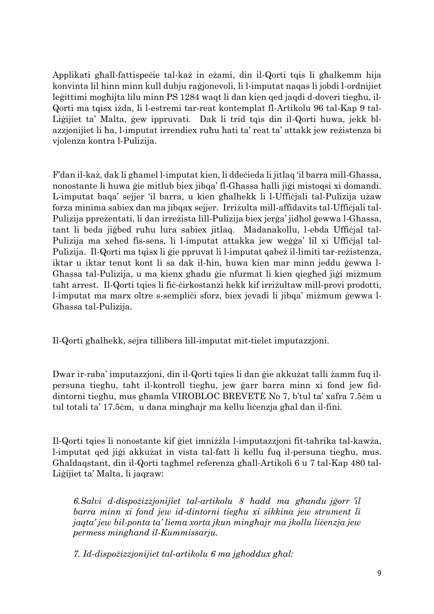Applikati għall-fattispeċie tal-każ in eżami, din il-Qorti tqis li għalkemm hija konvinta lil hinn minn kull dubju raġjonevoli, li l-imputat naqas li jobdi l-ordnijiet leġittimi mogħijta lilu minn PS 1284 waqt li dan kien qed jaqdi d-doveri tiegħu, il-Qorti ma tqisx iżda, li l-estremi tar-reat kontemplat fl-Artikolu 96 tal-Kap 9 tal-Liġijiet ta' Malta, ġew ippruvati. Dak li trid tqis din il-Qorti huwa, jekk blazzjonijiet li ħa, l-imputat irrendiex ruħu ħati ta' reat ta' attakk jew reżistenza bi vjolenza kontra l-Pulizija.

F'dan il-każ, dak li għamel l-imputat kien, li ddeċieda li jitlaq 'il barra mill-Għassa, nonostante li huwa ġie mitlub biex jibqa' fl-Għassa ħalli jiġi mistoqsi xi domandi. L-imputat baqa' sejjer 'il barra, u kien għalhekk li l-Uffiċjali tal-Pulizija użaw forza minima sabiex dan ma jibqax sejjer. Irriżulta mill-affidavits tal-Uffiċjali tal-Pulizija ppreżentati, li dan irreżista lill-Pulizija biex jerġa' jidħol ġewwa l-Għassa, tant li beda jiġbed ruħu lura sabiex jitlaq. Madanakollu, l-ebda Uffiċjal tal-Pulizija ma xehed fis-sens, li l-imputat attakka jew weġġa' lil xi Uffiċjal tal-Pulizija. Il-Qorti ma tqisx li ġie ppruvat li l-imputat qabeż il-limiti tar-reżistenza, iktar u iktar tenut kont li sa dak il-ħin, huwa kien mar minn jeddu ġewwa l-Għassa tal-Pulizija, u ma kienx għadu ġie nfurmat li kien qiegħed jiġi miżmum taħt arrest. Il-Qorti tqies li fiċ-ċirkostanzi hekk kif irriżultaw mill-provi prodotti, l-imputat ma marx oltre s-sempliċi sforz, biex jevadi li jibqa' miżmum ġewwa l-Għassa tal-Pulizija.

Il-Qorti għalhekk, sejra tillibera lill-imputat mit-tielet imputazzjoni.

Dwar ir-raba' imputazzjoni, din il-Qorti tqies li dan ġie akkużat talli żamm fuq ilpersuna tiegħu, taħt il-kontroll tiegħu, jew ġarr barra minn xi fond jew fiddintorni tiegħu, mus għamla VIROBLOC BREVETE No 7, b'tul ta' xafra 7.5ċm u tul totali ta' 17.5ċm, u dana mingħajr ma kellu liċenzja għal dan il-fini.

Il-Qorti tqies li nonostante kif ġiet imniżżla l-imputazzjoni fit-taħrika tal-kawża, l-imputat qed jiġi akkużat in vista tal-fatt li kellu fuq il-persuna tiegħu, mus. Għaldaqstant, din il-Qorti tagħmel referenza għall-Artikoli 6 u 7 tal-Kap 480 tal-Liġijiet ta' Malta, li jaqraw:

*6.Salvi d-dispożizzjonijiet tal-artikolu 8 ħadd ma għandu jġorr 'il barra minn xi fond jew id-dintorni tiegħu xi sikkina jew strument li jaqta' jew bil-ponta ta' liema xorta jkun mingħajr ma jkollu liċenzja jew permess mingħand il-Kummissarju.*

*7. Id-dispożizzjonijiet tal-artikolu 6 ma jgħoddux għal:*